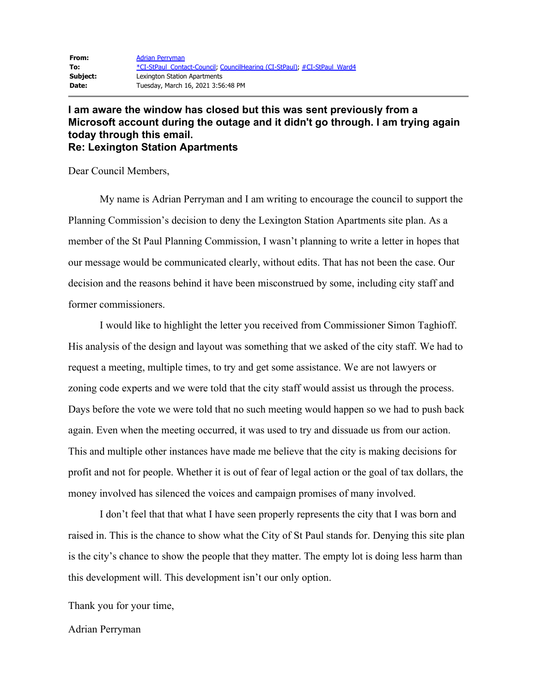## **I am aware the window has closed but this was sent previously from a Microsoft account during the outage and it didn't go through. I am trying again today through this email. Re: Lexington Station Apartments**

Dear Council Members,

My name is Adrian Perryman and I am writing to encourage the council to support the Planning Commission's decision to deny the Lexington Station Apartments site plan. As a member of the St Paul Planning Commission, I wasn't planning to write a letter in hopes that our message would be communicated clearly, without edits. That has not been the case. Our decision and the reasons behind it have been misconstrued by some, including city staff and former commissioners.

I would like to highlight the letter you received from Commissioner Simon Taghioff. His analysis of the design and layout was something that we asked of the city staff. We had to request a meeting, multiple times, to try and get some assistance. We are not lawyers or zoning code experts and we were told that the city staff would assist us through the process. Days before the vote we were told that no such meeting would happen so we had to push back again. Even when the meeting occurred, it was used to try and dissuade us from our action. This and multiple other instances have made me believe that the city is making decisions for profit and not for people. Whether it is out of fear of legal action or the goal of tax dollars, the money involved has silenced the voices and campaign promises of many involved.

I don't feel that that what I have seen properly represents the city that I was born and raised in. This is the chance to show what the City of St Paul stands for. Denying this site plan is the city's chance to show the people that they matter. The empty lot is doing less harm than this development will. This development isn't our only option.

Thank you for your time,

## Adrian Perryman